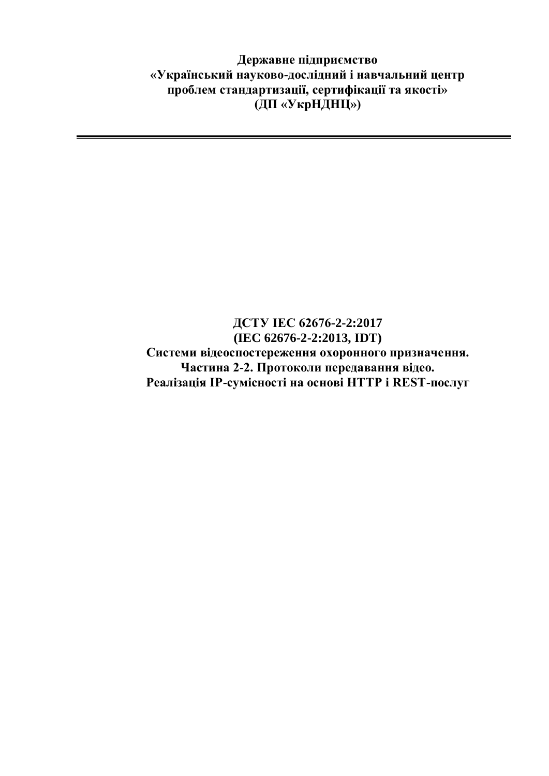**Державне підприємство «Український науково-дослідний і навчальний центр проблем стандартизації, сертифікації та якості» (ДП «УкрНДНЦ»)**

## **ДСТУ IEC 62676-2-2:2017 (IEC 62676-2-2:2013, IDT) Системи відеоспостереження охоронного призначення. Частина 2-2. Протоколи передавання відео. Реалізація IP-сумісності на основі HTTP і REST-послуг**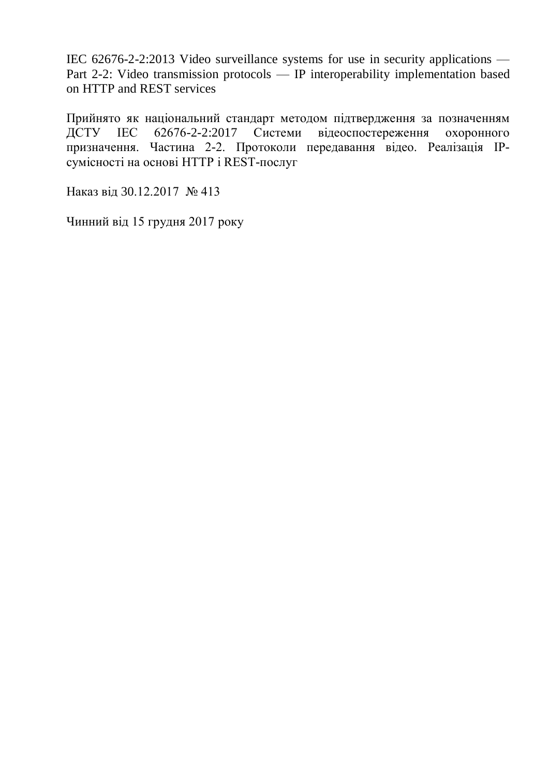IEC 62676-2-2:2013 Video surveillance systems for use in security applications — Part 2-2: Video transmission protocols — IP interoperability implementation based on HTTP and REST services

Прийнято як національний стандарт методом підтвердження за позначенням ДСТУ IEC 62676-2-2:2017 Системи відеоспостереження охоронного призначення. Частина 2-2. Протоколи передавання відео. Реалізація IPсумісності на основі HTTP і REST-послуг

Наказ від 30.12.2017 № 413

Чинний від 15 грудня 2017 року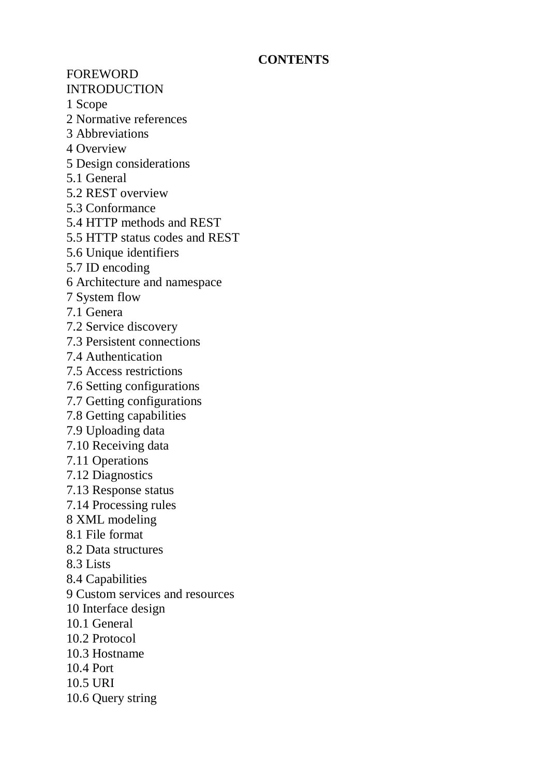## **CONTENTS**

FOREWORD INTRODUCTION

1 Scope

- 2 Normative references
- 3 Abbreviations
- 4 Overview
- 5 Design considerations
- 5.1 General
- 5.2 REST overview
- 5.3 Conformance
- 5.4 HTTP methods and REST
- 5.5 HTTP status codes and REST
- 5.6 Unique identifiers
- 5.7 ID encoding
- 6 Architecture and namespace
- 7 System flow
- 7.1 Genera
- 7.2 Service discovery
- 7.3 Persistent connections
- 7.4 Authentication
- 7.5 Access restrictions
- 7.6 Setting configurations
- 7.7 Getting configurations
- 7.8 Getting capabilities
- 7.9 Uploading data
- 7.10 Receiving data
- 7.11 Operations
- 7.12 Diagnostics
- 7.13 Response status
- 7.14 Processing rules
- 8 XML modeling
- 8.1 File format
- 8.2 Data structures
- 8.3 Lists
- 8.4 Capabilities
- 9 Custom services and resources
- 10 Interface design
- 10.1 General
- 10.2 Protocol
- 10.3 Hostname
- 10.4 Port
- 10.5 URI
- 10.6 Query string